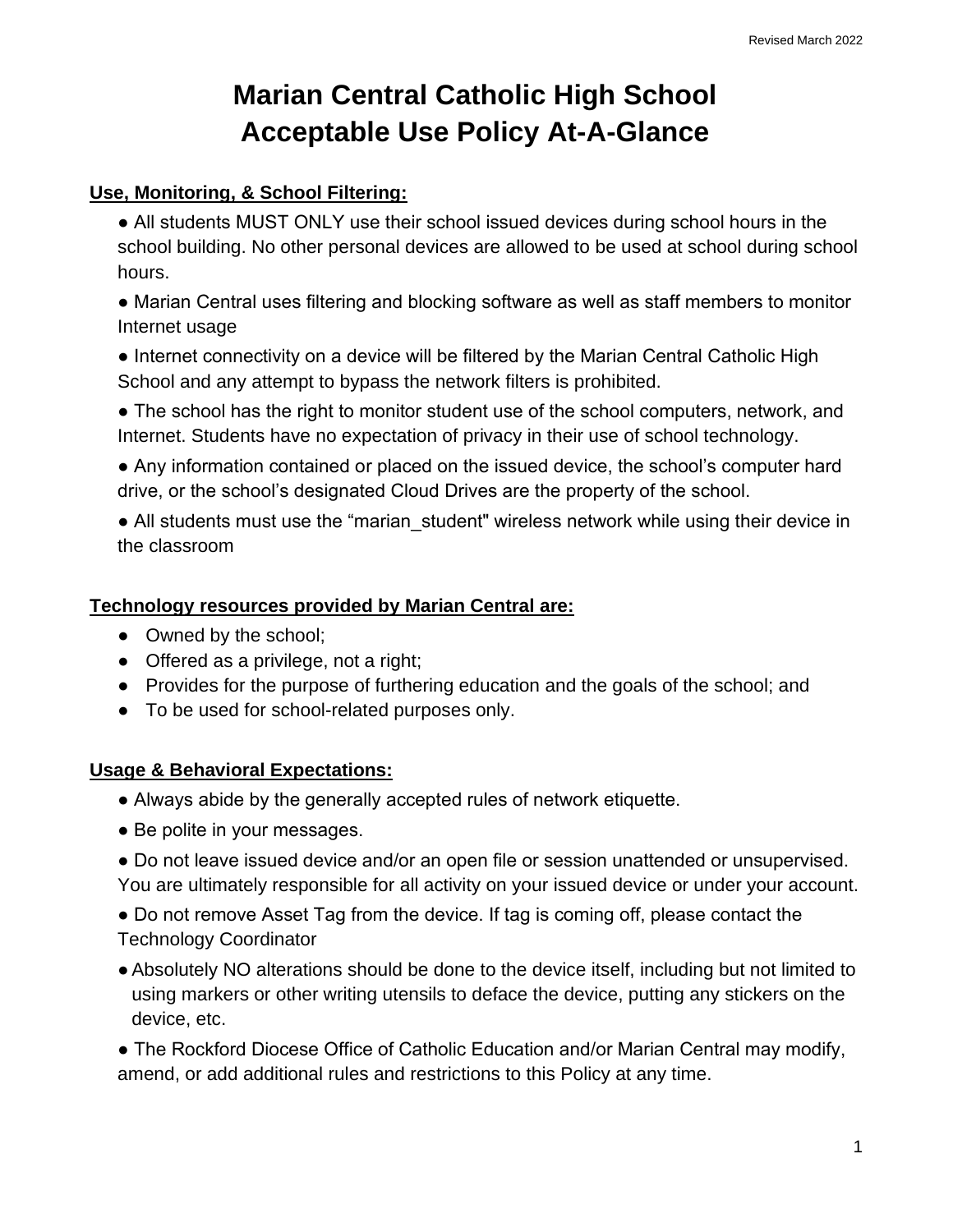# **Marian Central Catholic High School Acceptable Use Policy At-A-Glance**

#### **Use, Monitoring, & School Filtering:**

- All students MUST ONLY use their school issued devices during school hours in the school building. No other personal devices are allowed to be used at school during school hours.
- Marian Central uses filtering and blocking software as well as staff members to monitor Internet usage
- Internet connectivity on a device will be filtered by the Marian Central Catholic High School and any attempt to bypass the network filters is prohibited.
- The school has the right to monitor student use of the school computers, network, and Internet. Students have no expectation of privacy in their use of school technology.
- Any information contained or placed on the issued device, the school's computer hard drive, or the school's designated Cloud Drives are the property of the school.
- All students must use the "marian student" wireless network while using their device in the classroom

#### **Technology resources provided by Marian Central are:**

- Owned by the school:
- Offered as a privilege, not a right;
- Provides for the purpose of furthering education and the goals of the school; and
- To be used for school-related purposes only.

## **Usage & Behavioral Expectations:**

- Always abide by the generally accepted rules of network etiquette.
- Be polite in your messages.
- Do not leave issued device and/or an open file or session unattended or unsupervised. You are ultimately responsible for all activity on your issued device or under your account.
- Do not remove Asset Tag from the device. If tag is coming off, please contact the Technology Coordinator
- ●Absolutely NO alterations should be done to the device itself, including but not limited to using markers or other writing utensils to deface the device, putting any stickers on the device, etc.

• The Rockford Diocese Office of Catholic Education and/or Marian Central may modify, amend, or add additional rules and restrictions to this Policy at any time.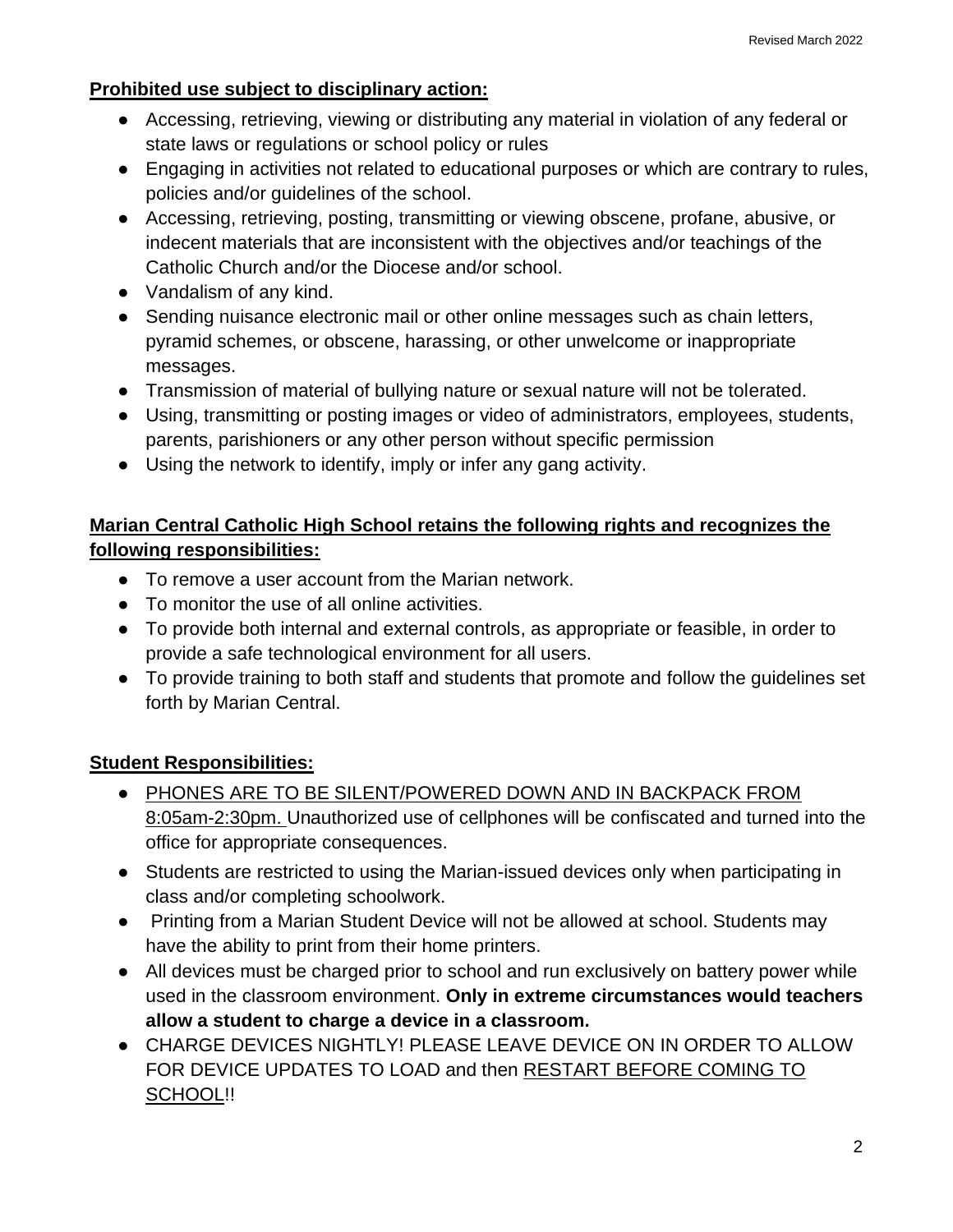#### **Prohibited use subject to disciplinary action:**

- Accessing, retrieving, viewing or distributing any material in violation of any federal or state laws or regulations or school policy or rules
- Engaging in activities not related to educational purposes or which are contrary to rules, policies and/or guidelines of the school.
- Accessing, retrieving, posting, transmitting or viewing obscene, profane, abusive, or indecent materials that are inconsistent with the objectives and/or teachings of the Catholic Church and/or the Diocese and/or school.
- Vandalism of any kind.
- Sending nuisance electronic mail or other online messages such as chain letters, pyramid schemes, or obscene, harassing, or other unwelcome or inappropriate messages.
- Transmission of material of bullying nature or sexual nature will not be tolerated.
- Using, transmitting or posting images or video of administrators, employees, students, parents, parishioners or any other person without specific permission
- Using the network to identify, imply or infer any gang activity.

# **Marian Central Catholic High School retains the following rights and recognizes the following responsibilities:**

- To remove a user account from the Marian network.
- To monitor the use of all online activities.
- To provide both internal and external controls, as appropriate or feasible, in order to provide a safe technological environment for all users.
- To provide training to both staff and students that promote and follow the guidelines set forth by Marian Central.

# **Student Responsibilities:**

- PHONES ARE TO BE SILENT/POWERED DOWN AND IN BACKPACK FROM 8:05am-2:30pm. Unauthorized use of cellphones will be confiscated and turned into the office for appropriate consequences.
- Students are restricted to using the Marian-issued devices only when participating in class and/or completing schoolwork.
- Printing from a Marian Student Device will not be allowed at school. Students may have the ability to print from their home printers.
- All devices must be charged prior to school and run exclusively on battery power while used in the classroom environment. **Only in extreme circumstances would teachers allow a student to charge a device in a classroom.**
- CHARGE DEVICES NIGHTLY! PLEASE LEAVE DEVICE ON IN ORDER TO ALLOW FOR DEVICE UPDATES TO LOAD and then RESTART BEFORE COMING TO SCHOOL!!